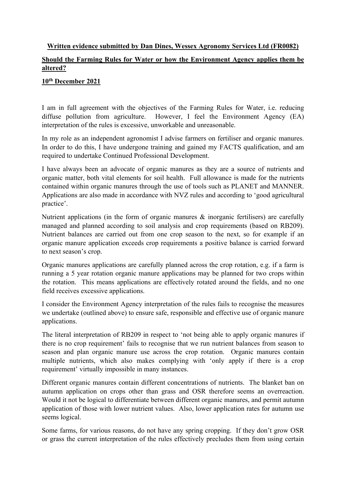## **Written evidence submitted by Dan Dines, Wessex Agronomy Services Ltd (FR0082)**

## **Should the Farming Rules for Water or how the Environment Agency applies them be altered?**

## **10th December 2021**

I am in full agreement with the objectives of the Farming Rules for Water, i.e. reducing diffuse pollution from agriculture. However, I feel the Environment Agency (EA) interpretation of the rules is excessive, unworkable and unreasonable.

In my role as an independent agronomist I advise farmers on fertiliser and organic manures. In order to do this, I have undergone training and gained my FACTS qualification, and am required to undertake Continued Professional Development.

I have always been an advocate of organic manures as they are a source of nutrients and organic matter, both vital elements for soil health. Full allowance is made for the nutrients contained within organic manures through the use of tools such as PLANET and MANNER. Applications are also made in accordance with NVZ rules and according to 'good agricultural practice'.

Nutrient applications (in the form of organic manures  $\&$  inorganic fertilisers) are carefully managed and planned according to soil analysis and crop requirements (based on RB209). Nutrient balances are carried out from one crop season to the next, so for example if an organic manure application exceeds crop requirements a positive balance is carried forward to next season's crop.

Organic manures applications are carefully planned across the crop rotation, e.g. if a farm is running a 5 year rotation organic manure applications may be planned for two crops within the rotation. This means applications are effectively rotated around the fields, and no one field receives excessive applications.

I consider the Environment Agency interpretation of the rules fails to recognise the measures we undertake (outlined above) to ensure safe, responsible and effective use of organic manure applications.

The literal interpretation of RB209 in respect to 'not being able to apply organic manures if there is no crop requirement' fails to recognise that we run nutrient balances from season to season and plan organic manure use across the crop rotation. Organic manures contain multiple nutrients, which also makes complying with 'only apply if there is a crop requirement' virtually impossible in many instances.

Different organic manures contain different concentrations of nutrients. The blanket ban on autumn application on crops other than grass and OSR therefore seems an overreaction. Would it not be logical to differentiate between different organic manures, and permit autumn application of those with lower nutrient values. Also, lower application rates for autumn use seems logical.

Some farms, for various reasons, do not have any spring cropping. If they don't grow OSR or grass the current interpretation of the rules effectively precludes them from using certain